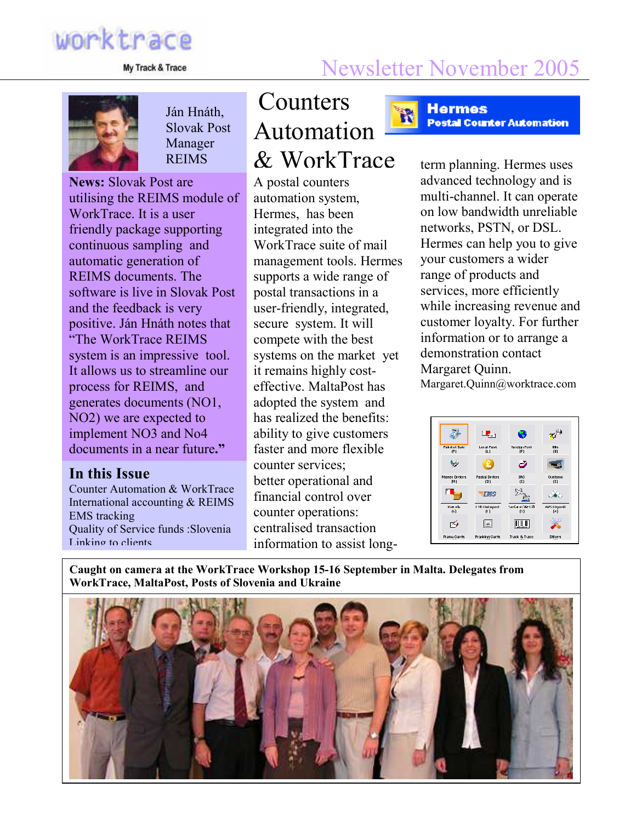# worktrace

## My Track & Trace Newsletter November 2005

R



Ján Hnáth, Slovak Post Manager

News: Slovak Post are utilising the REIMS module of WorkTrace. It is a user friendly package supporting continuous sampling and automatic generation of REIMS documents. The software is live in Slovak Post and the feedback is very positive. Ján Hnáth notes that "The WorkTrace REIMS system is an impressive tool. It allows us to streamline our process for REIMS, and generates documents (NO1, NO2) we are expected to implement NO3 and No4 documents in a near future."

#### In this Issue

Counter Automation & WorkTrace International accounting & REIMS EMS tracking Quality of Service funds :Slovenia Linking to clients

#### Counters Automation & WorkTrace REIMS  $\&$  Work Trace term planning. Hermes uses

A postal counters automation system, Hermes, has been integrated into the WorkTrace suite of mail management tools. Hermes supports a wide range of postal transactions in a user-friendly, integrated, secure system. It will compete with the best systems on the market yet it remains highly costeffective. MaltaPost has adopted the system and has realized the benefits: ability to give customers faster and more flexible counter services; better operational and financial control over counter operations: centralised transaction information to assist long**Hermes Postal Counter Automation** 

advanced technology and is multi-channel. It can operate on low bandwidth unreliable networks, PSTN, or DSL. Hermes can help you to give your customers a wider range of products and services, more efficiently while increasing revenue and customer loyalty. For further information or to arrange a demonstration contact Margaret Quinn. Margaret.Quinn@worktrace.com



Caught on camera at the WorkTrace Workshop 15-16 September in Malta. Delegates from WorkTrace, MaltaPost, Posts of Slovenia and Ukraine